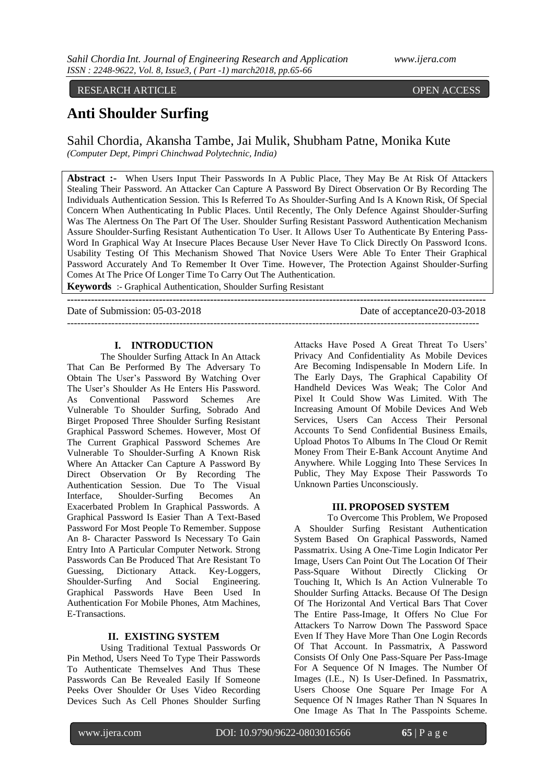# RESEARCH ARTICLE **OPEN ACCESS**

# **Anti Shoulder Surfing**

Sahil Chordia, Akansha Tambe, Jai Mulik, Shubham Patne, Monika Kute *(Computer Dept, Pimpri Chinchwad Polytechnic, India)* 

**Abstract :-** When Users Input Their Passwords In A Public Place, They May Be At Risk Of Attackers Stealing Their Password. An Attacker Can Capture A Password By Direct Observation Or By Recording The Individuals Authentication Session. This Is Referred To As Shoulder-Surfing And Is A Known Risk, Of Special Concern When Authenticating In Public Places. Until Recently, The Only Defence Against Shoulder-Surfing Was The Alertness On The Part Of The User. Shoulder Surfing Resistant Password Authentication Mechanism Assure Shoulder-Surfing Resistant Authentication To User. It Allows User To Authenticate By Entering Pass-Word In Graphical Way At Insecure Places Because User Never Have To Click Directly On Password Icons. Usability Testing Of This Mechanism Showed That Novice Users Were Able To Enter Their Graphical Password Accurately And To Remember It Over Time. However, The Protection Against Shoulder-Surfing Comes At The Price Of Longer Time To Carry Out The Authentication.

**---------------------------------------------------------------------------------------------------------------------------**

-------------------------------------------------------------------------------------------------------------------------

**Keywords** :- Graphical Authentication, Shoulder Surfing Resistant

Date of Submission: 05-03-2018 Date of acceptance 20-03-2018

## **I. INTRODUCTION**

The Shoulder Surfing Attack In An Attack That Can Be Performed By The Adversary To Obtain The User's Password By Watching Over The User's Shoulder As He Enters His Password. As Conventional Password Schemes Are Vulnerable To Shoulder Surfing, Sobrado And Birget Proposed Three Shoulder Surfing Resistant Graphical Password Schemes. However, Most Of The Current Graphical Password Schemes Are Vulnerable To Shoulder-Surfing A Known Risk Where An Attacker Can Capture A Password By Direct Observation Or By Recording The Authentication Session. Due To The Visual Interface, Shoulder-Surfing Becomes An Exacerbated Problem In Graphical Passwords. A Graphical Password Is Easier Than A Text-Based Password For Most People To Remember. Suppose An 8- Character Password Is Necessary To Gain Entry Into A Particular Computer Network. Strong Passwords Can Be Produced That Are Resistant To Guessing, Dictionary Attack. Key-Loggers, Shoulder-Surfing And Social Engineering. Graphical Passwords Have Been Used In Authentication For Mobile Phones, Atm Machines, E-Transactions.

# **II. EXISTING SYSTEM**

Using Traditional Textual Passwords Or Pin Method, Users Need To Type Their Passwords To Authenticate Themselves And Thus These Passwords Can Be Revealed Easily If Someone Peeks Over Shoulder Or Uses Video Recording Devices Such As Cell Phones Shoulder Surfing

Attacks Have Posed A Great Threat To Users' Privacy And Confidentiality As Mobile Devices Are Becoming Indispensable In Modern Life. In The Early Days, The Graphical Capability Of Handheld Devices Was Weak; The Color And Pixel It Could Show Was Limited. With The Increasing Amount Of Mobile Devices And Web Services, Users Can Access Their Personal Accounts To Send Confidential Business Emails, Upload Photos To Albums In The Cloud Or Remit Money From Their E-Bank Account Anytime And Anywhere. While Logging Into These Services In Public, They May Expose Their Passwords To Unknown Parties Unconsciously.

#### **III. PROPOSED SYSTEM**

To Overcome This Problem, We Proposed A Shoulder Surfing Resistant Authentication System Based On Graphical Passwords, Named Passmatrix. Using A One-Time Login Indicator Per Image, Users Can Point Out The Location Of Their Pass-Square Without Directly Clicking Or Touching It, Which Is An Action Vulnerable To Shoulder Surfing Attacks. Because Of The Design Of The Horizontal And Vertical Bars That Cover The Entire Pass-Image, It Offers No Clue For Attackers To Narrow Down The Password Space Even If They Have More Than One Login Records Of That Account. In Passmatrix, A Password Consists Of Only One Pass-Square Per Pass-Image For A Sequence Of N Images. The Number Of Images (I.E., N) Is User-Defined. In Passmatrix, Users Choose One Square Per Image For A Sequence Of N Images Rather Than N Squares In One Image As That In The Passpoints Scheme.